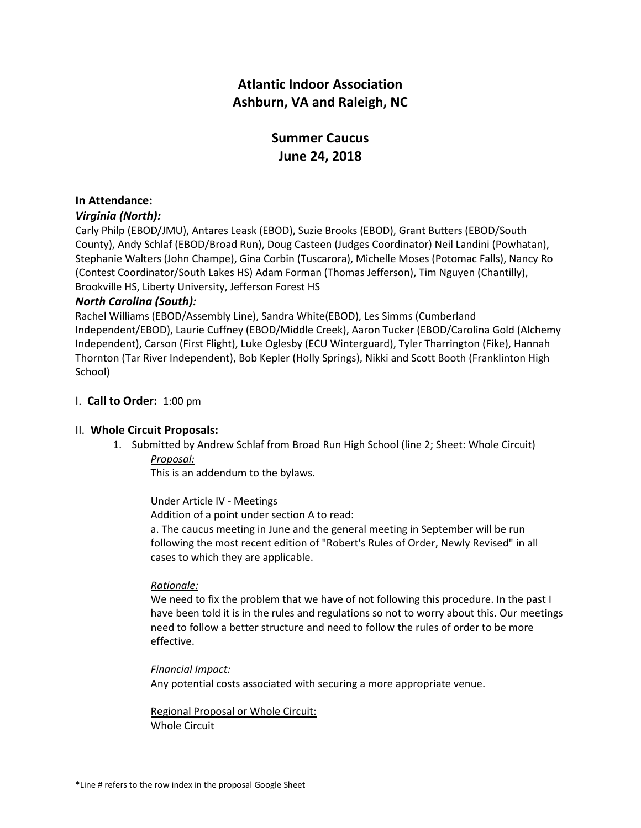# **Atlantic Indoor Association Ashburn, VA and Raleigh, NC**

# **Summer Caucus June 24, 2018**

# **In Attendance:**

# *Virginia (North):*

Carly Philp (EBOD/JMU), Antares Leask (EBOD), Suzie Brooks (EBOD), Grant Butters (EBOD/South County), Andy Schlaf (EBOD/Broad Run), Doug Casteen (Judges Coordinator) Neil Landini (Powhatan), Stephanie Walters (John Champe), Gina Corbin (Tuscarora), Michelle Moses (Potomac Falls), Nancy Ro (Contest Coordinator/South Lakes HS) Adam Forman (Thomas Jefferson), Tim Nguyen (Chantilly), Brookville HS, Liberty University, Jefferson Forest HS

# *North Carolina (South):*

Rachel Williams (EBOD/Assembly Line), Sandra White(EBOD), Les Simms (Cumberland Independent/EBOD), Laurie Cuffney (EBOD/Middle Creek), Aaron Tucker (EBOD/Carolina Gold (Alchemy Independent), Carson (First Flight), Luke Oglesby (ECU Winterguard), Tyler Tharrington (Fike), Hannah Thornton (Tar River Independent), Bob Kepler (Holly Springs), Nikki and Scott Booth (Franklinton High School)

# I. **Call to Order:** 1:00 pm

# II. **Whole Circuit Proposals:**

1. Submitted by Andrew Schlaf from Broad Run High School (line 2; Sheet: Whole Circuit) *Proposal:*

This is an addendum to the bylaws.

Under Article IV - Meetings

Addition of a point under section A to read:

a. The caucus meeting in June and the general meeting in September will be run following the most recent edition of "Robert's Rules of Order, Newly Revised" in all cases to which they are applicable.

# *Rationale:*

We need to fix the problem that we have of not following this procedure. In the past I have been told it is in the rules and regulations so not to worry about this. Our meetings need to follow a better structure and need to follow the rules of order to be more effective.

# *Financial Impact:*

Any potential costs associated with securing a more appropriate venue.

Regional Proposal or Whole Circuit: Whole Circuit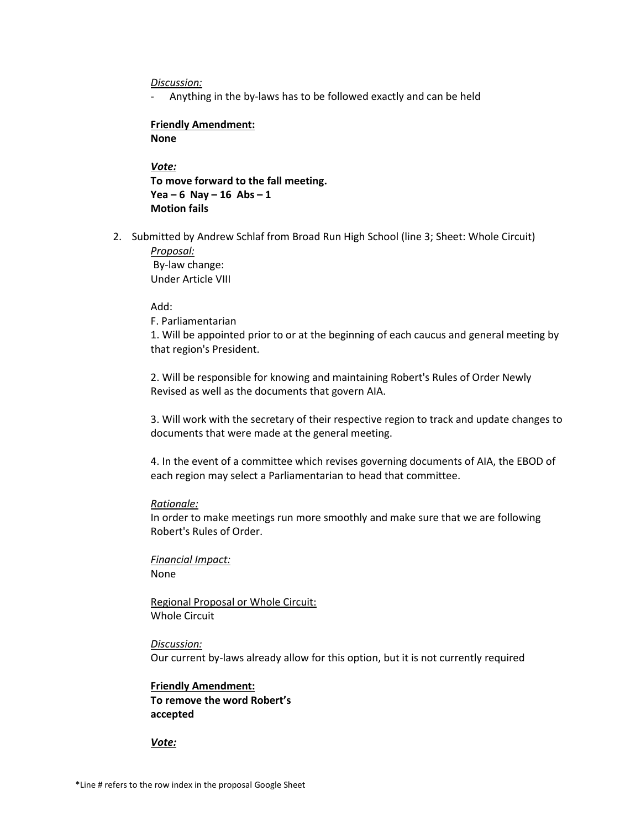#### *Discussion:*

Anything in the by-laws has to be followed exactly and can be held

#### **Friendly Amendment: None**

*Vote:* **To move forward to the fall meeting. Yea – 6 Nay – 16 Abs – 1 Motion fails**

2. Submitted by Andrew Schlaf from Broad Run High School (line 3; Sheet: Whole Circuit) *Proposal:*

By-law change: Under Article VIII

Add:

F. Parliamentarian

1. Will be appointed prior to or at the beginning of each caucus and general meeting by that region's President.

2. Will be responsible for knowing and maintaining Robert's Rules of Order Newly Revised as well as the documents that govern AIA.

3. Will work with the secretary of their respective region to track and update changes to documents that were made at the general meeting.

4. In the event of a committee which revises governing documents of AIA, the EBOD of each region may select a Parliamentarian to head that committee.

#### *Rationale:*

In order to make meetings run more smoothly and make sure that we are following Robert's Rules of Order.

*Financial Impact:* None

Regional Proposal or Whole Circuit: Whole Circuit

*Discussion:* Our current by-laws already allow for this option, but it is not currently required

# **Friendly Amendment: To remove the word Robert's accepted**

*Vote:*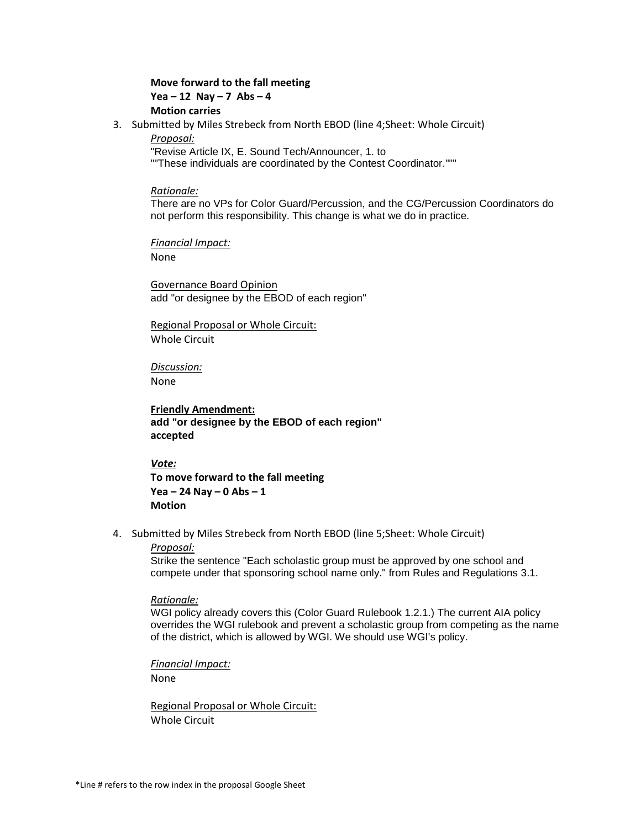# **Move forward to the fall meeting Yea – 12 Nay – 7 Abs – 4 Motion carries**

- 3. Submitted by Miles Strebeck from North EBOD (line 4;Sheet: Whole Circuit)
	- *Proposal:*

"Revise Article IX, E. Sound Tech/Announcer, 1. to

""These individuals are coordinated by the Contest Coordinator."""

#### *Rationale:*

There are no VPs for Color Guard/Percussion, and the CG/Percussion Coordinators do not perform this responsibility. This change is what we do in practice.

*Financial Impact:*

None

Governance Board Opinion add "or designee by the EBOD of each region"

Regional Proposal or Whole Circuit: Whole Circuit

*Discussion:* None

**Friendly Amendment: add "or designee by the EBOD of each region" accepted**

# *Vote:*

**To move forward to the fall meeting Yea – 24 Nay – 0 Abs – 1 Motion** 

4. Submitted by Miles Strebeck from North EBOD (line 5;Sheet: Whole Circuit)

# *Proposal:*

Strike the sentence "Each scholastic group must be approved by one school and compete under that sponsoring school name only." from Rules and Regulations 3.1.

# *Rationale:*

WGI policy already covers this (Color Guard Rulebook 1.2.1.) The current AIA policy overrides the WGI rulebook and prevent a scholastic group from competing as the name of the district, which is allowed by WGI. We should use WGI's policy.

*Financial Impact:*

None

Regional Proposal or Whole Circuit: Whole Circuit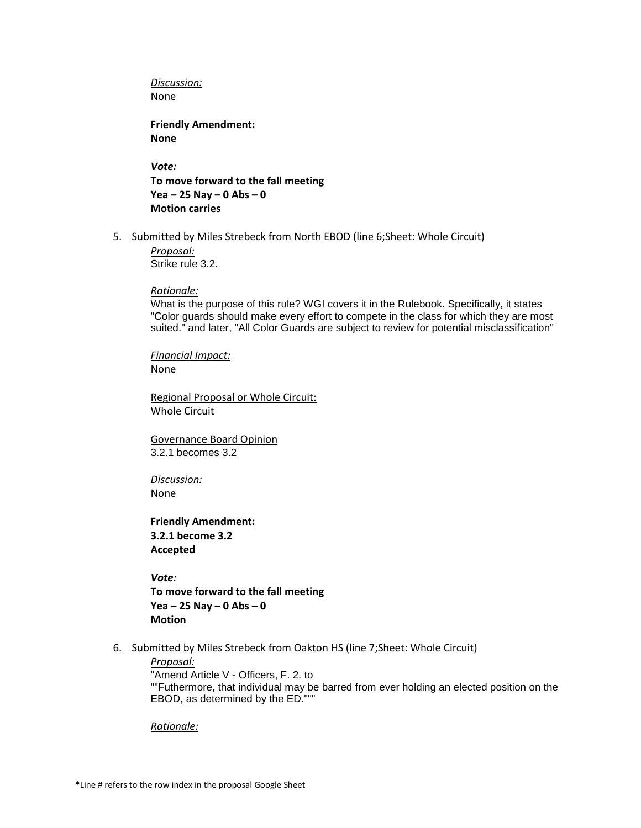*Discussion:* None

**Friendly Amendment: None** 

*Vote:* **To move forward to the fall meeting Yea – 25 Nay – 0 Abs – 0 Motion carries**

5. Submitted by Miles Strebeck from North EBOD (line 6;Sheet: Whole Circuit)

*Proposal:* Strike rule 3.2.

*Rationale:*

What is the purpose of this rule? WGI covers it in the Rulebook. Specifically, it states "Color guards should make every effort to compete in the class for which they are most suited." and later, "All Color Guards are subject to review for potential misclassification"

*Financial Impact:* None

Regional Proposal or Whole Circuit: Whole Circuit

Governance Board Opinion 3.2.1 becomes 3.2

*Discussion:* None

**Friendly Amendment: 3.2.1 become 3.2 Accepted**

*Vote:* **To move forward to the fall meeting Yea – 25 Nay – 0 Abs – 0 Motion** 

6. Submitted by Miles Strebeck from Oakton HS (line 7;Sheet: Whole Circuit)

*Proposal:* "Amend Article V - Officers, F. 2. to ""Futhermore, that individual may be barred from ever holding an elected position on the EBOD, as determined by the ED."""

*Rationale:*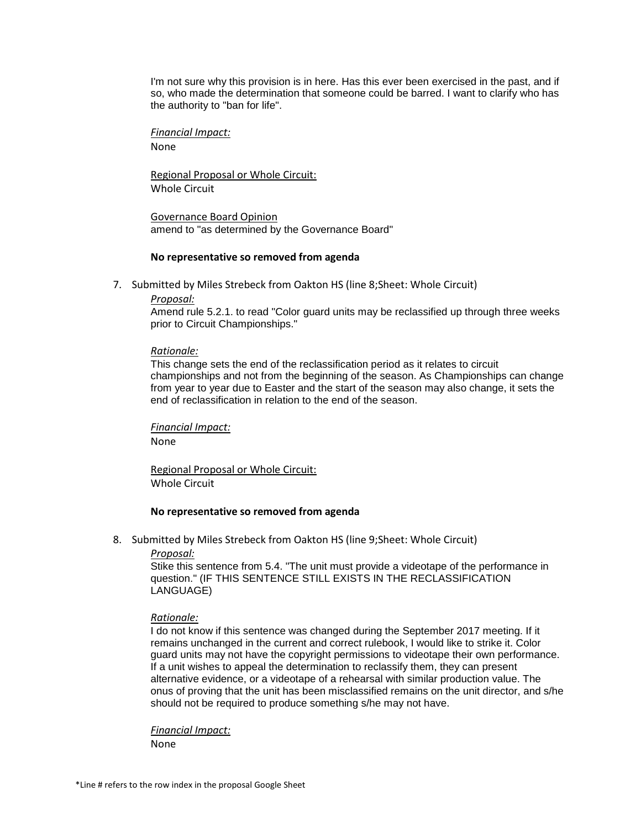I'm not sure why this provision is in here. Has this ever been exercised in the past, and if so, who made the determination that someone could be barred. I want to clarify who has the authority to "ban for life".

*Financial Impact:* None

Regional Proposal or Whole Circuit: Whole Circuit

Governance Board Opinion amend to "as determined by the Governance Board"

# **No representative so removed from agenda**

7. Submitted by Miles Strebeck from Oakton HS (line 8;Sheet: Whole Circuit)

# *Proposal:*

Amend rule 5.2.1. to read "Color guard units may be reclassified up through three weeks prior to Circuit Championships."

# *Rationale:*

This change sets the end of the reclassification period as it relates to circuit championships and not from the beginning of the season. As Championships can change from year to year due to Easter and the start of the season may also change, it sets the end of reclassification in relation to the end of the season.

*Financial Impact:*

None

Regional Proposal or Whole Circuit: Whole Circuit

# **No representative so removed from agenda**

8. Submitted by Miles Strebeck from Oakton HS (line 9;Sheet: Whole Circuit)

*Proposal:*

Stike this sentence from 5.4. "The unit must provide a videotape of the performance in question." (IF THIS SENTENCE STILL EXISTS IN THE RECLASSIFICATION LANGUAGE)

# *Rationale:*

I do not know if this sentence was changed during the September 2017 meeting. If it remains unchanged in the current and correct rulebook, I would like to strike it. Color guard units may not have the copyright permissions to videotape their own performance. If a unit wishes to appeal the determination to reclassify them, they can present alternative evidence, or a videotape of a rehearsal with similar production value. The onus of proving that the unit has been misclassified remains on the unit director, and s/he should not be required to produce something s/he may not have.

*Financial Impact:*

None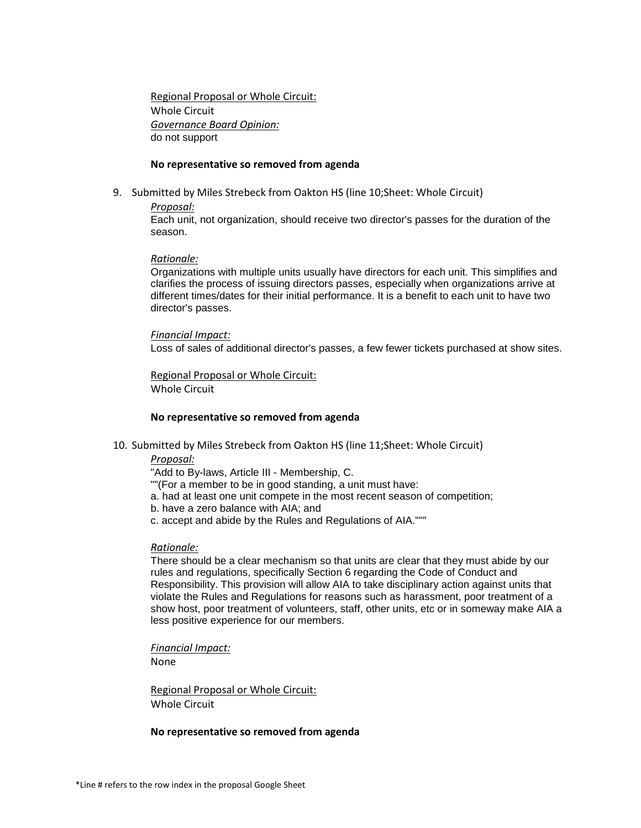Regional Proposal or Whole Circuit: Whole Circuit *Governance Board Opinion:* do not support

#### **No representative so removed from agenda**

9. Submitted by Miles Strebeck from Oakton HS (line 10;Sheet: Whole Circuit)

*Proposal:*

Each unit, not organization, should receive two director's passes for the duration of the season.

#### *Rationale:*

Organizations with multiple units usually have directors for each unit. This simplifies and clarifies the process of issuing directors passes, especially when organizations arrive at different times/dates for their initial performance. It is a benefit to each unit to have two director's passes.

#### *Financial Impact:*

Loss of sales of additional director's passes, a few fewer tickets purchased at show sites.

Regional Proposal or Whole Circuit: Whole Circuit

# **No representative so removed from agenda**

10. Submitted by Miles Strebeck from Oakton HS (line 11;Sheet: Whole Circuit)

# *Proposal:*

"Add to By-laws, Article III - Membership, C.

- ""(For a member to be in good standing, a unit must have:
- a. had at least one unit compete in the most recent season of competition;
- b. have a zero balance with AIA; and
- c. accept and abide by the Rules and Regulations of AIA."""

# *Rationale:*

There should be a clear mechanism so that units are clear that they must abide by our rules and regulations, specifically Section 6 regarding the Code of Conduct and Responsibility. This provision will allow AIA to take disciplinary action against units that violate the Rules and Regulations for reasons such as harassment, poor treatment of a show host, poor treatment of volunteers, staff, other units, etc or in someway make AIA a less positive experience for our members.

*Financial Impact:*

None

Regional Proposal or Whole Circuit: Whole Circuit

#### **No representative so removed from agenda**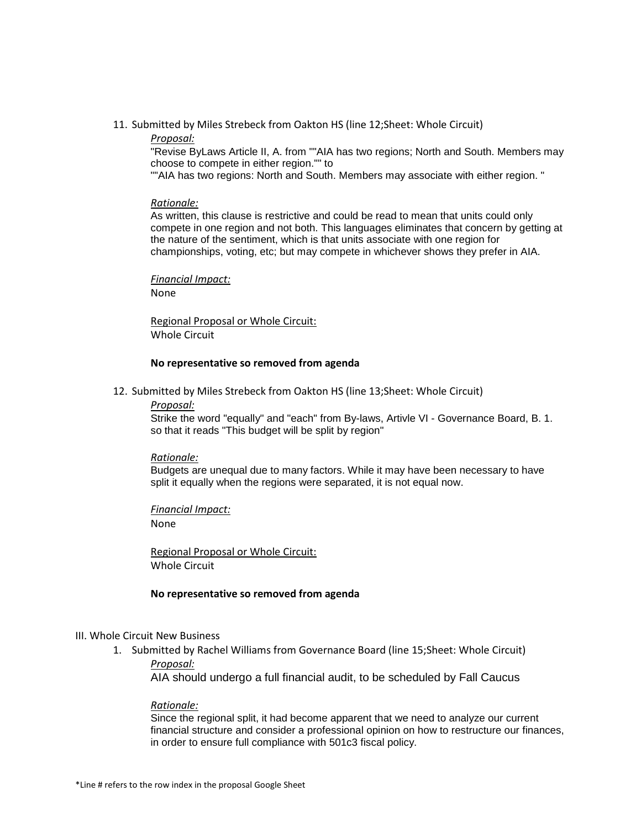# 11. Submitted by Miles Strebeck from Oakton HS (line 12;Sheet: Whole Circuit)

# *Proposal:*

"Revise ByLaws Article II, A. from ""AIA has two regions; North and South. Members may choose to compete in either region."" to

""AIA has two regions: North and South. Members may associate with either region. "

#### *Rationale:*

As written, this clause is restrictive and could be read to mean that units could only compete in one region and not both. This languages eliminates that concern by getting at the nature of the sentiment, which is that units associate with one region for championships, voting, etc; but may compete in whichever shows they prefer in AIA.

# *Financial Impact:*

None

Regional Proposal or Whole Circuit: Whole Circuit

#### **No representative so removed from agenda**

12. Submitted by Miles Strebeck from Oakton HS (line 13;Sheet: Whole Circuit)

#### *Proposal:*

Strike the word "equally" and "each" from By-laws, Artivle VI - Governance Board, B. 1. so that it reads "This budget will be split by region"

# *Rationale:*

Budgets are unequal due to many factors. While it may have been necessary to have split it equally when the regions were separated, it is not equal now.

*Financial Impact:* None

Regional Proposal or Whole Circuit: Whole Circuit

# **No representative so removed from agenda**

# III. Whole Circuit New Business

1. Submitted by Rachel Williams from Governance Board (line 15;Sheet: Whole Circuit) *Proposal:*

AIA should undergo a full financial audit, to be scheduled by Fall Caucus

# *Rationale:*

Since the regional split, it had become apparent that we need to analyze our current financial structure and consider a professional opinion on how to restructure our finances, in order to ensure full compliance with 501c3 fiscal policy.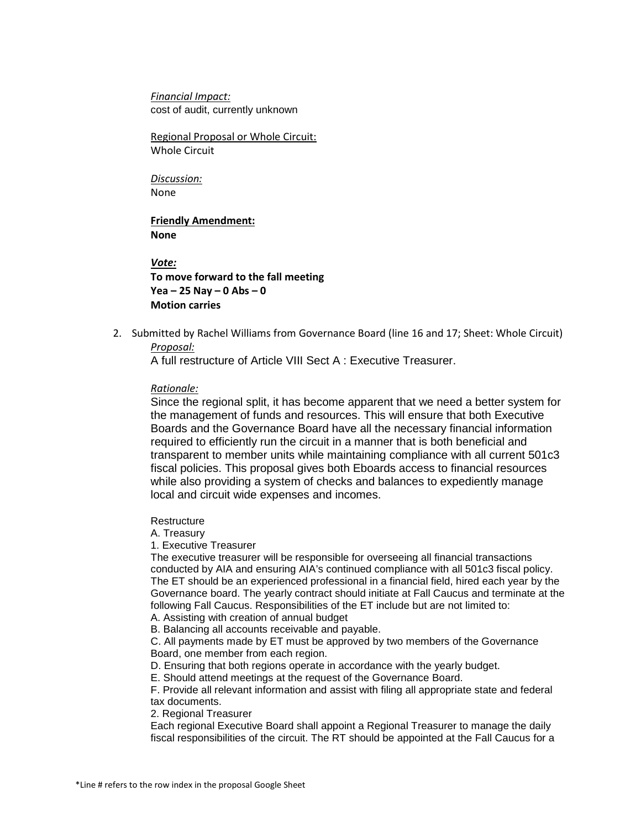*Financial Impact:* cost of audit, currently unknown

Regional Proposal or Whole Circuit: Whole Circuit

*Discussion:* None

**Friendly Amendment: None**

*Vote:* **To move forward to the fall meeting Yea – 25 Nay – 0 Abs – 0 Motion carries**

2. Submitted by Rachel Williams from Governance Board (line 16 and 17; Sheet: Whole Circuit) *Proposal:*

A full restructure of Article VIII Sect A : Executive Treasurer.

# *Rationale:*

Since the regional split, it has become apparent that we need a better system for the management of funds and resources. This will ensure that both Executive Boards and the Governance Board have all the necessary financial information required to efficiently run the circuit in a manner that is both beneficial and transparent to member units while maintaining compliance with all current 501c3 fiscal policies. This proposal gives both Eboards access to financial resources while also providing a system of checks and balances to expediently manage local and circuit wide expenses and incomes.

**Restructure** 

A. Treasury

1. Executive Treasurer

The executive treasurer will be responsible for overseeing all financial transactions conducted by AIA and ensuring AIA's continued compliance with all 501c3 fiscal policy. The ET should be an experienced professional in a financial field, hired each year by the Governance board. The yearly contract should initiate at Fall Caucus and terminate at the following Fall Caucus. Responsibilities of the ET include but are not limited to: A. Assisting with creation of annual budget

B. Balancing all accounts receivable and payable.

C. All payments made by ET must be approved by two members of the Governance Board, one member from each region.

D. Ensuring that both regions operate in accordance with the yearly budget.

E. Should attend meetings at the request of the Governance Board.

F. Provide all relevant information and assist with filing all appropriate state and federal tax documents.

2. Regional Treasurer

Each regional Executive Board shall appoint a Regional Treasurer to manage the daily fiscal responsibilities of the circuit. The RT should be appointed at the Fall Caucus for a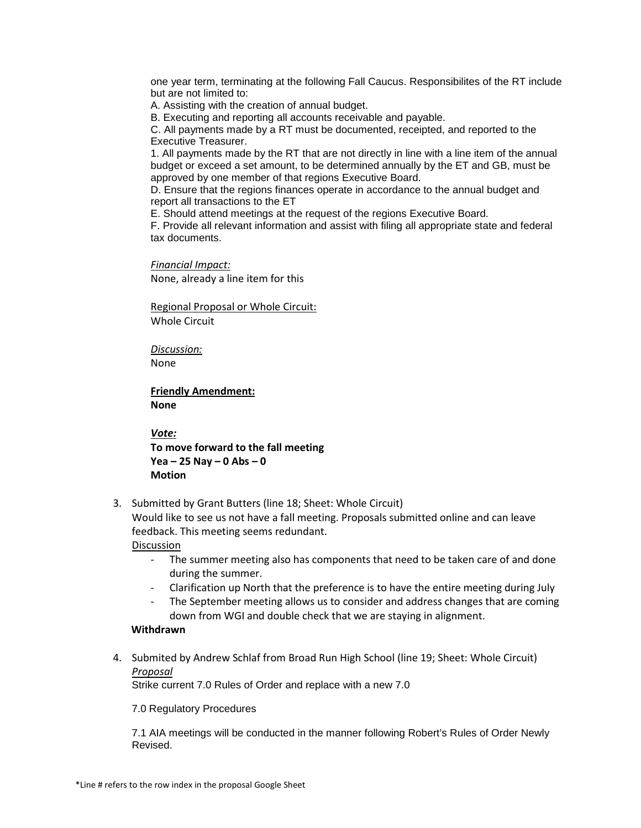one year term, terminating at the following Fall Caucus. Responsibilites of the RT include but are not limited to:

A. Assisting with the creation of annual budget.

B. Executing and reporting all accounts receivable and payable.

C. All payments made by a RT must be documented, receipted, and reported to the Executive Treasurer.

1. All payments made by the RT that are not directly in line with a line item of the annual budget or exceed a set amount, to be determined annually by the ET and GB, must be approved by one member of that regions Executive Board.

D. Ensure that the regions finances operate in accordance to the annual budget and report all transactions to the ET

E. Should attend meetings at the request of the regions Executive Board.

F. Provide all relevant information and assist with filing all appropriate state and federal tax documents.

*Financial Impact:* None, already a line item for this

Regional Proposal or Whole Circuit: Whole Circuit

*Discussion:* None

**Friendly Amendment: None**

*Vote:*

**To move forward to the fall meeting Yea – 25 Nay – 0 Abs – 0 Motion** 

3. Submitted by Grant Butters (line 18; Sheet: Whole Circuit)

Would like to see us not have a fall meeting. Proposals submitted online and can leave feedback. This meeting seems redundant.

**Discussion** 

- The summer meeting also has components that need to be taken care of and done during the summer.
- Clarification up North that the preference is to have the entire meeting during July
- The September meeting allows us to consider and address changes that are coming down from WGI and double check that we are staying in alignment.

# **Withdrawn**

4. Submited by Andrew Schlaf from Broad Run High School (line 19; Sheet: Whole Circuit) *Proposal*

Strike current 7.0 Rules of Order and replace with a new 7.0

7.0 Regulatory Procedures

7.1 AIA meetings will be conducted in the manner following Robert's Rules of Order Newly Revised.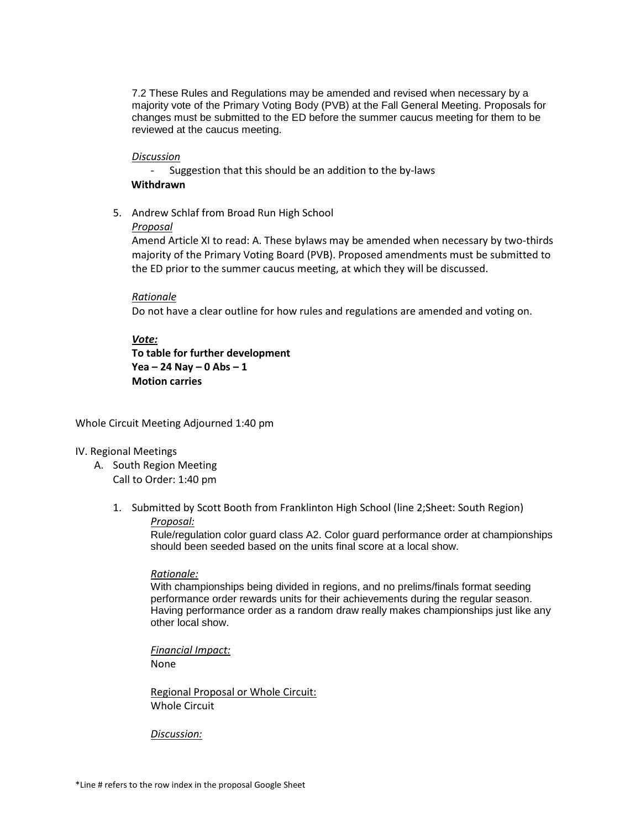7.2 These Rules and Regulations may be amended and revised when necessary by a majority vote of the Primary Voting Body (PVB) at the Fall General Meeting. Proposals for changes must be submitted to the ED before the summer caucus meeting for them to be reviewed at the caucus meeting.

# *Discussion*

- Suggestion that this should be an addition to the by-laws **Withdrawn**

5. Andrew Schlaf from Broad Run High School

# *Proposal*

Amend Article XI to read: A. These bylaws may be amended when necessary by two-thirds majority of the Primary Voting Board (PVB). Proposed amendments must be submitted to the ED prior to the summer caucus meeting, at which they will be discussed.

# *Rationale*

Do not have a clear outline for how rules and regulations are amended and voting on.

# *Vote:*

**To table for further development Yea – 24 Nay – 0 Abs – 1 Motion carries** 

Whole Circuit Meeting Adjourned 1:40 pm

# IV. Regional Meetings

- A. South Region Meeting Call to Order: 1:40 pm
	- 1. Submitted by Scott Booth from Franklinton High School (line 2;Sheet: South Region)

# *Proposal:*

Rule/regulation color guard class A2. Color guard performance order at championships should been seeded based on the units final score at a local show.

# *Rationale:*

With championships being divided in regions, and no prelims/finals format seeding performance order rewards units for their achievements during the regular season. Having performance order as a random draw really makes championships just like any other local show.

*Financial Impact:*

None

Regional Proposal or Whole Circuit: Whole Circuit

# *Discussion:*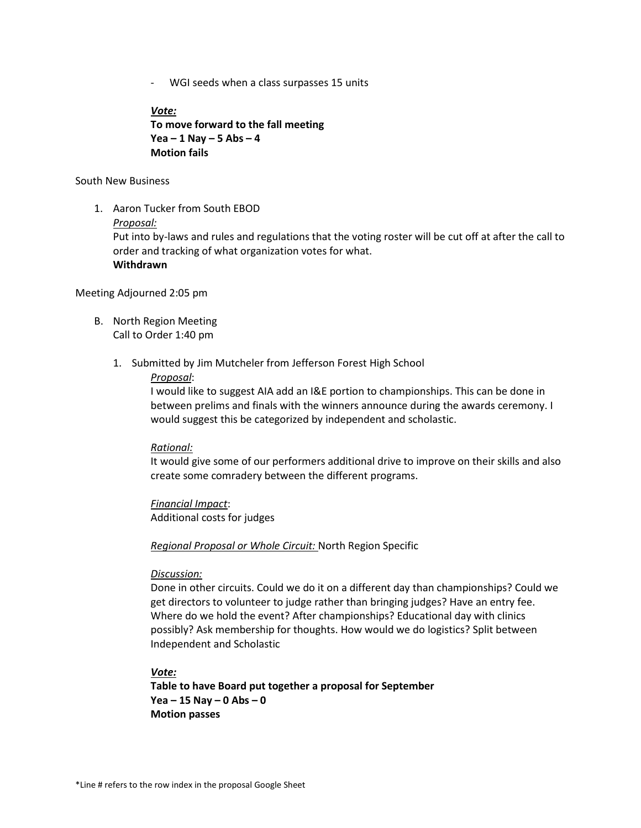- WGI seeds when a class surpasses 15 units

*Vote:* **To move forward to the fall meeting Yea – 1 Nay – 5 Abs – 4 Motion fails**

# South New Business

1. Aaron Tucker from South EBOD

# *Proposal:*

Put into by-laws and rules and regulations that the voting roster will be cut off at after the call to order and tracking of what organization votes for what. **Withdrawn** 

Meeting Adjourned 2:05 pm

- B. North Region Meeting Call to Order 1:40 pm
	- 1. Submitted by Jim Mutcheler from Jefferson Forest High School

# *Proposal*:

I would like to suggest AIA add an I&E portion to championships. This can be done in between prelims and finals with the winners announce during the awards ceremony. I would suggest this be categorized by independent and scholastic.

# *Rational:*

It would give some of our performers additional drive to improve on their skills and also create some comradery between the different programs.

# *Financial Impact*: Additional costs for judges

*Regional Proposal or Whole Circuit:* North Region Specific

# *Discussion:*

Done in other circuits. Could we do it on a different day than championships? Could we get directors to volunteer to judge rather than bringing judges? Have an entry fee. Where do we hold the event? After championships? Educational day with clinics possibly? Ask membership for thoughts. How would we do logistics? Split between Independent and Scholastic

# *Vote:*

**Table to have Board put together a proposal for September Yea – 15 Nay – 0 Abs – 0 Motion passes**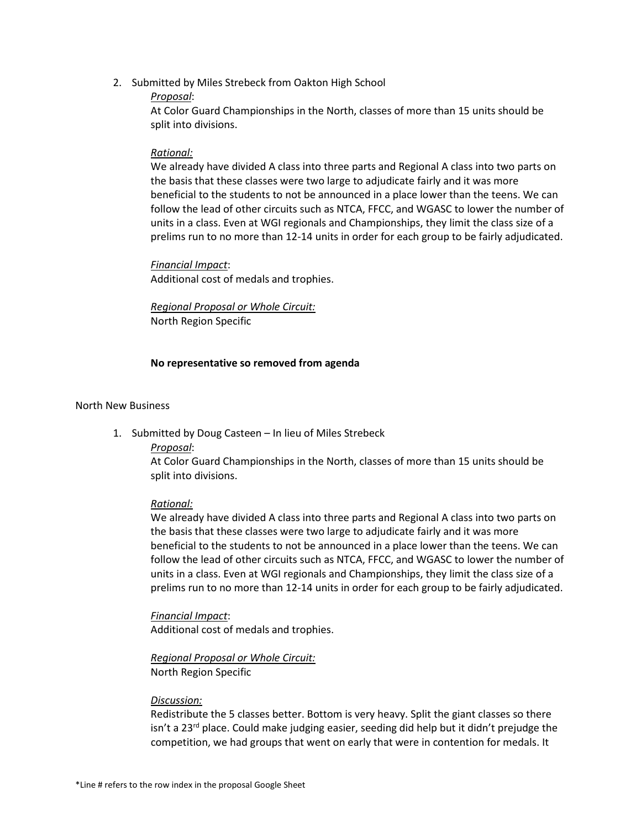2. Submitted by Miles Strebeck from Oakton High School

# *Proposal*:

At Color Guard Championships in the North, classes of more than 15 units should be split into divisions.

# *Rational:*

We already have divided A class into three parts and Regional A class into two parts on the basis that these classes were two large to adjudicate fairly and it was more beneficial to the students to not be announced in a place lower than the teens. We can follow the lead of other circuits such as NTCA, FFCC, and WGASC to lower the number of units in a class. Even at WGI regionals and Championships, they limit the class size of a prelims run to no more than 12-14 units in order for each group to be fairly adjudicated.

*Financial Impact*: Additional cost of medals and trophies.

*Regional Proposal or Whole Circuit:* North Region Specific

# **No representative so removed from agenda**

# North New Business

1. Submitted by Doug Casteen – In lieu of Miles Strebeck

# *Proposal*:

At Color Guard Championships in the North, classes of more than 15 units should be split into divisions.

# *Rational:*

We already have divided A class into three parts and Regional A class into two parts on the basis that these classes were two large to adjudicate fairly and it was more beneficial to the students to not be announced in a place lower than the teens. We can follow the lead of other circuits such as NTCA, FFCC, and WGASC to lower the number of units in a class. Even at WGI regionals and Championships, they limit the class size of a prelims run to no more than 12-14 units in order for each group to be fairly adjudicated.

*Financial Impact*: Additional cost of medals and trophies.

*Regional Proposal or Whole Circuit:* North Region Specific

# *Discussion:*

Redistribute the 5 classes better. Bottom is very heavy. Split the giant classes so there isn't a 23<sup>rd</sup> place. Could make judging easier, seeding did help but it didn't prejudge the competition, we had groups that went on early that were in contention for medals. It